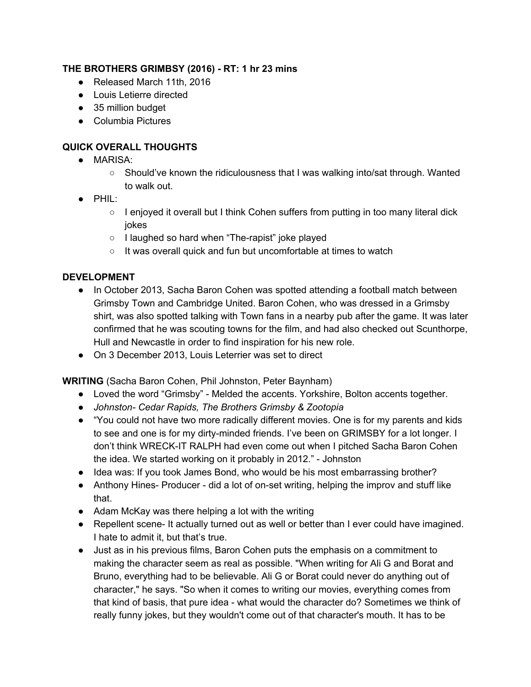## **THE BROTHERS GRIMBSY (2016) RT: 1 hr 23 mins**

- Released March 11th, 2016
- Louis Letierre directed
- 35 million budget
- Columbia Pictures

# **QUICK OVERALL THOUGHTS**

- MARISA:
	- $\circ$  Should've known the ridiculousness that I was walking into/sat through. Wanted to walk out.
- PHIL:
	- $\circ$  I enjoyed it overall but I think Cohen suffers from putting in too many literal dick jokes
	- I laughed so hard when "The-rapist" joke played
	- It was overall quick and fun but uncomfortable at times to watch

## **DEVELOPMENT**

- In October 2013, Sacha Baron [Cohen](https://en.wikipedia.org/wiki/Sacha_Baron_Cohen) was spotted attending a football match between [Grimsby](https://en.wikipedia.org/wiki/Grimsby_Town_F.C.) Town and [Cambridge](https://en.wikipedia.org/wiki/Cambridge_United_F.C.) United. Baron Cohen, who was dressed in a Grimsby shirt, was also spotted talking with Town fans in a nearby pub after the game. It was later confirmed that he was scouting towns for the film, and had also checked out [Scunthorpe,](https://en.wikipedia.org/wiki/Scunthorpe) [Hull](https://en.wikipedia.org/wiki/Kingston_upon_Hull) and [Newcastle](https://en.wikipedia.org/wiki/Newcastle_upon_Tyne) in order to find inspiration for his new role.
- On 3 December 2013, Louis [Leterrier](https://en.wikipedia.org/wiki/Louis_Leterrier) was set to direct

**WRITING**(Sacha Baron Cohen, Phil Johnston, Peter Baynham)

- Loved the word "Grimsby" Melded the accents. Yorkshire, Bolton accents together.
- *● Johnston Cedar Rapids, The Brothers Grimsby & Zootopia*
- "You could not have two more radically different movies. One is for my parents and kids to see and one is for my dirty-minded friends. I've been on GRIMSBY for a lot longer. I don't think WRECK-IT RALPH had even come out when I pitched Sacha Baron Cohen the idea. We started working on it probably in 2012." Johnston
- Idea was: If you took James Bond, who would be his most embarrassing brother?
- Anthony Hines- Producer did a lot of on-set writing, helping the improv and stuff like that.
- Adam McKay was there helping a lot with the writing
- Repellent scene It actually turned out as well or better than I ever could have imagined. I hate to admit it, but that's true.
- Just as in his previous films, Baron Cohen puts the emphasis on a commitment to making the character seem as real as possible. "When writing for Ali G and Borat and Bruno, everything had to be believable. Ali G or Borat could never do anything out of character," he says. "So when it comes to writing our movies, everything comes from that kind of basis, that pure idea - what would the character do? Sometimes we think of really funny jokes, but they wouldn't come out of that character's mouth. It has to be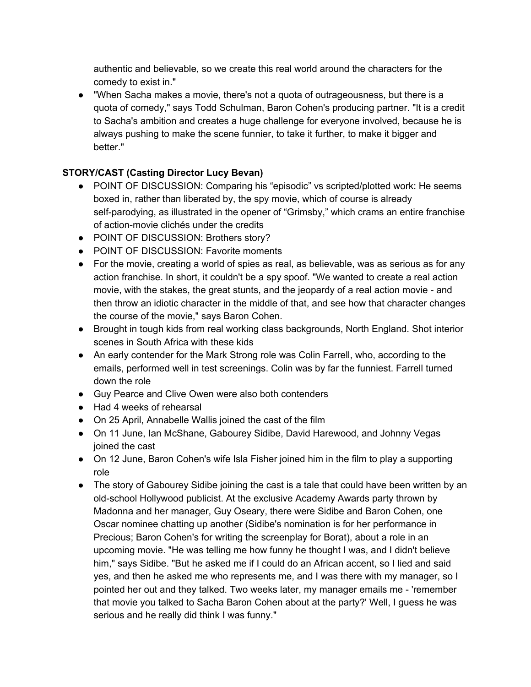authentic and believable, so we create this real world around the characters for the comedy to exist in."

● "When Sacha makes a movie, there's not a quota of outrageousness, but there is a quota of comedy," says Todd Schulman, Baron Cohen's producing partner. "It is a credit to Sacha's ambition and creates a huge challenge for everyone involved, because he is always pushing to make the scene funnier, to take it further, to make it bigger and better."

## **STORY/CAST (Casting Director Lucy Bevan)**

- POINT OF DISCUSSION: Comparing his "episodic" vs scripted/plotted work: He seems boxed in, rather than liberated by, the spy movie, which of course is already self-parodying, as illustrated in the opener of "Grimsby," which crams an entire franchise of action-movie clichés under the credits
- POINT OF DISCUSSION: Brothers story?
- POINT OF DISCUSSION: Favorite moments
- For the movie, creating a world of spies as real, as believable, was as serious as for any action franchise. In short, it couldn't be a spy spoof. "We wanted to create a real action movie, with the stakes, the great stunts, and the jeopardy of a real action movie - and then throw an idiotic character in the middle of that, and see how that character changes the course of the movie," says Baron Cohen.
- Brought in tough kids from real working class backgrounds, North England. Shot interior scenes in South Africa with these kids
- An early contender for the Mark Strong role was Colin Farrell, who, according to the emails, performed well in test screenings. Colin was by far the funniest. Farrell turned down the role
- Guy Pearce and Clive Owen were also both contenders
- Had 4 weeks of rehearsal
- On 25 April, [Annabelle](https://en.wikipedia.org/wiki/Annabelle_Wallis) Wallis joined the cast of the film
- On 11 June, Ian [McShane,](https://en.wikipedia.org/wiki/Ian_McShane) [Gabourey](https://en.wikipedia.org/wiki/Gabourey_Sidibe) Sidibe, David [Harewood,](https://en.wikipedia.org/wiki/David_Harewood) and [Johnny](https://en.wikipedia.org/wiki/Johnny_Vegas) Vegas joined the cast
- On 12 June, Baron Cohen's wife Isla [Fisher](https://en.wikipedia.org/wiki/Isla_Fisher) joined him in the film to play a supporting role
- The story of Gabourey Sidibe joining the cast is a tale that could have been written by an old-school Hollywood publicist. At the exclusive Academy Awards party thrown by Madonna and her manager, Guy Oseary, there were Sidibe and Baron Cohen, one Oscar nominee chatting up another (Sidibe's nomination is for her performance in Precious; Baron Cohen's for writing the screenplay for Borat), about a role in an upcoming movie. "He was telling me how funny he thought I was, and I didn't believe him," says Sidibe. "But he asked me if I could do an African accent, so I lied and said yes, and then he asked me who represents me, and I was there with my manager, so I pointed her out and they talked. Two weeks later, my manager emails me 'remember that movie you talked to Sacha Baron Cohen about at the party?' Well, I guess he was serious and he really did think I was funny."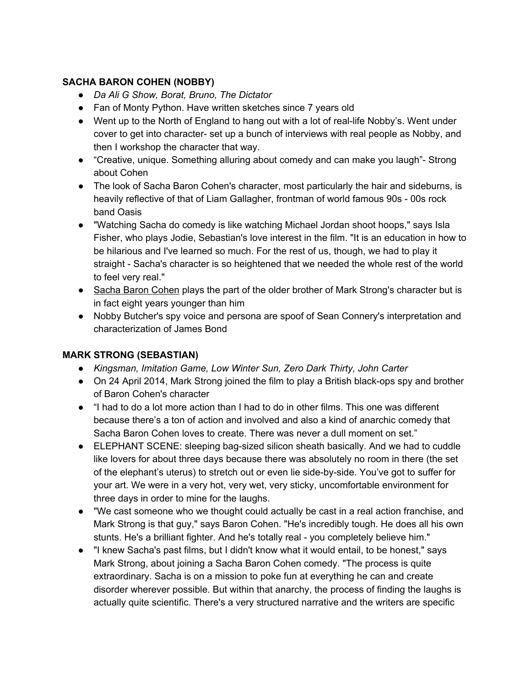## **SACHA BARON COHEN (NOBBY)**

- *● Da Ali G Show, Borat, Bruno, The Dictator*
- Fan of Monty Python. Have written sketches since 7 years old
- Went up to the North of England to hang out with a lot of real-life Nobby's. Went under cover to get into character- set up a bunch of interviews with real people as Nobby, and then I workshop the character that way.
- "Creative, unique. Something alluring about comedy and can make you laugh" Strong about Cohen
- The look of Sacha Baron [Cohen'](http://www.imdb.com/name/nm0056187)s character, most particularly the hair and sideburns, is heavily reflective of that of Liam [Gallagher,](http://www.imdb.com/name/nm0302427) frontman of world famous 90s - 00s rock band Oasis
- "Watching Sacha do comedy is like watching Michael Jordan shoot hoops," says Isla Fisher, who plays Jodie, Sebastian's love interest in the film. "It is an education in how to be hilarious and I've learned so much. For the rest of us, though, we had to play it straight - Sacha's character is so heightened that we needed the whole rest of the world to feel very real."
- Sacha Baron [Cohen](http://www.imdb.com/name/nm0056187) plays the part of the older brother of Mark [Strong'](http://www.imdb.com/name/nm0835016)s character but is in fact eight years younger than him
- Nobby Butcher's spy voice and persona are spoof of Sean [Connery'](http://www.imdb.com/name/nm0000125)s interpretation and characterization of James Bond

### **MARK STRONG (SEBASTIAN)**

- *● Kingsman, Imitation Game, Low Winter Sun, Zero Dark Thirty, John Carter*
- On 24 April 2014, Mark [Strong](https://en.wikipedia.org/wiki/Mark_Strong) joined the film to play a British black-ops spy and brother of Baron Cohen's character
- "I had to do a lot more action than I had to do in other films. This one was different because there's a ton of action and involved and also a kind of anarchic comedy that Sacha Baron Cohen loves to create. There was never a dull moment on set."
- ELEPHANT SCENE: sleeping bag-sized silicon sheath basically. And we had to cuddle like lovers for about three days because there was absolutely no room in there (the set of the elephant's uterus) to stretch out or even lie side-by-side. You've got to suffer for your art. We were in a very hot, very wet, very sticky, uncomfortable environment for three days in order to mine for the laughs.
- "We cast someone who we thought could actually be cast in a real action franchise, and Mark Strong is that guy," says Baron Cohen. "He's incredibly tough. He does all his own stunts. He's a brilliant fighter. And he's totally real - you completely believe him."
- "I knew Sacha's past films, but I didn't know what it would entail, to be honest," says Mark Strong, about joining a Sacha Baron Cohen comedy. "The process is quite extraordinary. Sacha is on a mission to poke fun at everything he can and create disorder wherever possible. But within that anarchy, the process of finding the laughs is actually quite scientific. There's a very structured narrative and the writers are specific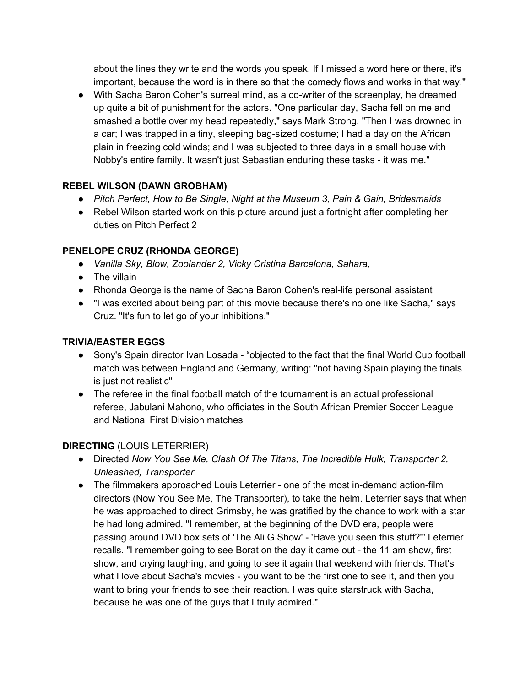about the lines they write and the words you speak. If I missed a word here or there, it's important, because the word is in there so that the comedy flows and works in that way."

• With Sacha Baron Cohen's surreal mind, as a co-writer of the screenplay, he dreamed up quite a bit of punishment for the actors. "One particular day, Sacha fell on me and smashed a bottle over my head repeatedly," says Mark Strong. "Then I was drowned in a car; I was trapped in a tiny, sleeping bag-sized costume; I had a day on the African plain in freezing cold winds; and I was subjected to three days in a small house with Nobby's entire family. It wasn't just Sebastian enduring these tasks - it was me."

### **REBEL WILSON (DAWN GROBHAM)**

- *● Pitch Perfect, How to Be Single, Night at the Museum 3, Pain & Gain, Bridesmaids*
- Rebel Wilson started work on this picture around just a fortnight after completing her duties on Pitch Perfect 2

### **PENELOPE CRUZ (RHONDA GEORGE)**

- *● Vanilla Sky, Blow, Zoolander 2, Vicky Cristina Barcelona, Sahara,*
- The villain
- [Rhonda](http://www.imdb.com/name/nm1170463) George is the name of Sacha Baron [Cohen'](http://www.imdb.com/name/nm0056187)s real-life personal assistant
- "I was excited about being part of this movie because there's no one like Sacha," says Cruz. "It's fun to let go of your inhibitions."

#### **TRIVIA/EASTER EGGS**

- **●** Sony's Spain director Ivan Losada "objected to the fact that the final World Cup football match was between England and Germany, writing: "not having Spain playing the finals is just not realistic"
- The referee in the final football match of the tournament is an actual professional referee, Jabulani Mahono, who officiates in the South African Premier Soccer League and National First Division matches

### **DIRECTING**(LOUIS LETERRIER)

- Directed *Now You See Me, Clash Of The Titans, The Incredible Hulk, Transporter 2, Unleashed, Transporter*
- The filmmakers approached Louis Leterrier one of the most in-demand action-film directors (Now You See Me, The Transporter), to take the helm. Leterrier says that when he was approached to direct Grimsby, he was gratified by the chance to work with a star he had long admired. "I remember, at the beginning of the DVD era, people were passing around DVD box sets of 'The Ali G Show' 'Have you seen this stuff?'" Leterrier recalls. "I remember going to see Borat on the day it came out - the 11 am show, first show, and crying laughing, and going to see it again that weekend with friends. That's what I love about Sacha's movies - you want to be the first one to see it, and then you want to bring your friends to see their reaction. I was quite starstruck with Sacha, because he was one of the guys that I truly admired."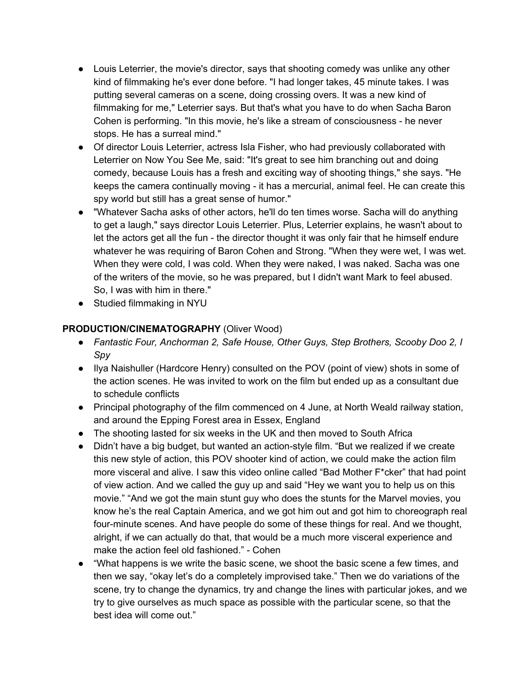- Louis [Leterrier,](http://www.imdb.com/name/nm0504642) the movie's director, says that shooting comedy was unlike any other kind of filmmaking he's ever done before. "I had longer takes, 45 minute takes. I was putting several cameras on a scene, doing crossing overs. It was a new kind of filmmaking for me," Leterrier says. But that's what you have to do when Sacha Baron Cohen is performing. "In this movie, he's like a stream of consciousness he never stops. He has a surreal mind."
- Of director Louis Leterrier, actress Isla Fisher, who had previously collaborated with Leterrier on Now You See Me, said: "It's great to see him branching out and doing comedy, because Louis has a fresh and exciting way of shooting things," she says. "He keeps the camera continually moving - it has a mercurial, animal feel. He can create this spy world but still has a great sense of humor."
- "Whatever Sacha asks of other actors, he'll do ten times worse. Sacha will do anything to get a laugh," says director Louis [Leterrier.](http://www.imdb.com/name/nm0504642) Plus, Leterrier explains, he wasn't about to let the actors get all the fun - the director thought it was only fair that he himself endure whatever he was requiring of Baron Cohen and Strong. "When they were wet, I was wet. When they were cold, I was cold. When they were naked, I was naked. Sacha was one of the writers of the movie, so he was prepared, but I didn't want Mark to feel abused. So, I was with him in there."
- Studied filmmaking in NYU

## **PRODUCTION/CINEMATOGRAPHY**(Oliver Wood)

- *● Fantastic Four, Anchorman 2, Safe House, Other Guys, Step Brothers, Scooby Doo 2, I Spy*
- Ilya [Naishuller](http://www.imdb.com/name/nm5820154) (Hardcore Henry) consulted on the POV (point of view) shots in some of the action scenes. He was invited to work on the film but ended up as a consultant due to schedule conflicts
- Principal [photography](https://en.wikipedia.org/wiki/Principal_photography) of the film commenced on 4 June, at North Weald [railway](https://en.wikipedia.org/wiki/North_Weald_railway_station) station, and around the [Epping](https://en.wikipedia.org/wiki/Epping_Forest) Forest area in [Essex](https://en.wikipedia.org/wiki/Essex), England
- The shooting lasted for six weeks in the UK and then moved to South Africa
- Didn't have a big budget, but wanted an action-style film. "But we realized if we create this new style of action, this POV shooter kind of action, we could make the action film more visceral and alive. I saw this video online called "Bad Mother F\*cker" that had point of view action. And we called the guy up and said "Hey we want you to help us on this movie." "And we got the main stunt guy who does the stunts for the Marvel movies, you know he's the real Captain America, and we got him out and got him to choreograph real four-minute scenes. And have people do some of these things for real. And we thought, alright, if we can actually do that, that would be a much more visceral experience and make the action feel old fashioned." - Cohen
- "What happens is we write the basic scene, we shoot the basic scene a few times, and then we say, "okay let's do a completely improvised take." Then we do variations of the scene, try to change the dynamics, try and change the lines with particular jokes, and we try to give ourselves as much space as possible with the particular scene, so that the best idea will come out."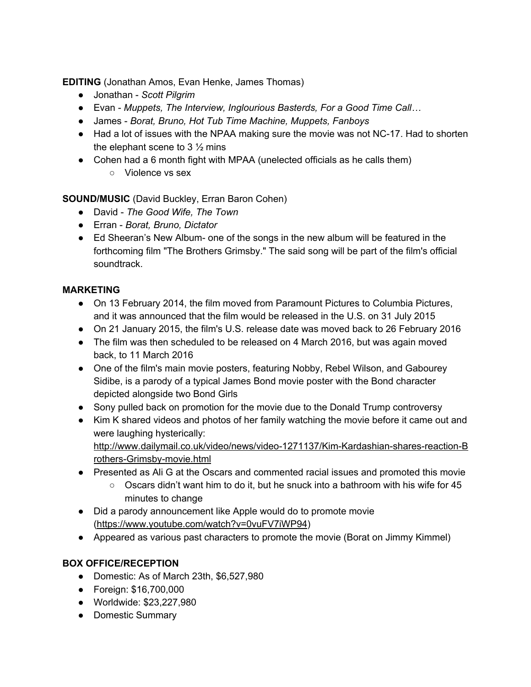**EDITING** (Jonathan Amos, Evan Henke, James Thomas)

- Jonathan *Scott Pilgrim*
- Evan *Muppets, The Interview, Inglourious Basterds, For a Good Time Call…*
- James *Borat, Bruno, Hot Tub Time Machine, Muppets, Fanboys*
- Had a lot of issues with the NPAA making sure the movie was not NC-17. Had to shorten the elephant scene to  $3\frac{1}{2}$  mins
- Cohen had a 6 month fight with MPAA (unelected officials as he calls them)
	- Violence vs sex

**SOUND/MUSIC**(David Buckley, Erran Baron Cohen)

- David *The Good Wife, The Town*
- Erran *Borat, Bruno, Dictator*
- Ed Sheeran's New Album- one of the songs in the new album will be featured in the forthcoming film "The Brothers Grimsby." The said song will be part of the film's official soundtrack.

# **MARKETING**

- On 13 February 2014, the film moved from [Paramount](https://en.wikipedia.org/wiki/Paramount_Pictures) Pictures to [Columbia](https://en.wikipedia.org/wiki/Columbia_Pictures) Pictures, and it was announced that the film would be released in the U.S. on 31 July 2015
- On 21 January 2015, the film's U.S. release date was moved back to 26 February 2016
- The film was then scheduled to be released on 4 March 2016, but was again moved back, to 11 March 2016
- One of the film's main movie posters, featuring Nobby, Rebel [Wilson](http://www.imdb.com/name/nm2313103), and [Gabourey](http://www.imdb.com/name/nm2829737) [Sidibe,](http://www.imdb.com/name/nm2829737) is a parody of a typical James Bond movie poster with the Bond character depicted alongside two Bond Girls
- Sony pulled back on promotion for the movie due to the Donald Trump controversy
- Kim K shared videos and photos of her family watching the movie before it came out and were laughing hysterically:

http://www.dailymail.co.uk/video/news/video-1271137/Kim-Kardashian-shares-reaction-B rothers-Grimsby-movie.html

- Presented as Ali G at the Oscars and commented racial issues and promoted this movie
	- $\circ$  Oscars didn't want him to do it, but he snuck into a bathroom with his wife for 45 minutes to change
- Did a parody announcement like Apple would do to promote movie [\(https://www.youtube.com/watch?v=0vuFV7iWP94\)](https://www.youtube.com/watch?v=0vuFV7iWP94)
- Appeared as various past characters to promote the movie (Borat on Jimmy Kimmel)

# **BOX OFFICE/RECEPTION**

- Domestic: As of March 23th, \$6,527,980
- Foreign: \$16,700,000
- Worldwide: \$23,227,980
- Domestic Summary